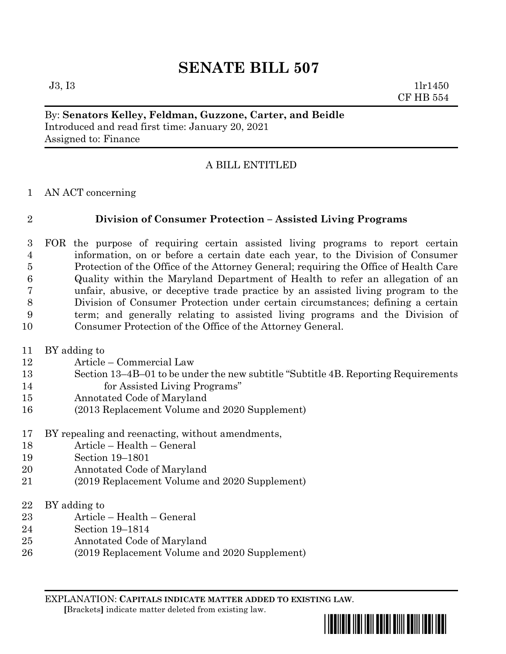# **SENATE BILL 507**

 $J3, I3$  1lr1450 CF HB 554

#### By: **Senators Kelley, Feldman, Guzzone, Carter, and Beidle** Introduced and read first time: January 20, 2021 Assigned to: Finance

## A BILL ENTITLED

AN ACT concerning

### **Division of Consumer Protection – Assisted Living Programs**

- FOR the purpose of requiring certain assisted living programs to report certain information, on or before a certain date each year, to the Division of Consumer Protection of the Office of the Attorney General; requiring the Office of Health Care Quality within the Maryland Department of Health to refer an allegation of an unfair, abusive, or deceptive trade practice by an assisted living program to the Division of Consumer Protection under certain circumstances; defining a certain term; and generally relating to assisted living programs and the Division of Consumer Protection of the Office of the Attorney General.
- BY adding to
- Article Commercial Law
- Section 13–4B–01 to be under the new subtitle "Subtitle 4B. Reporting Requirements for Assisted Living Programs"
- Annotated Code of Maryland
- (2013 Replacement Volume and 2020 Supplement)
- BY repealing and reenacting, without amendments,
- Article Health General
- Section 19–1801
- Annotated Code of Maryland
- (2019 Replacement Volume and 2020 Supplement)
- BY adding to
- Article Health General
- Section 19–1814
- Annotated Code of Maryland
- (2019 Replacement Volume and 2020 Supplement)

EXPLANATION: **CAPITALS INDICATE MATTER ADDED TO EXISTING LAW**.  **[**Brackets**]** indicate matter deleted from existing law.

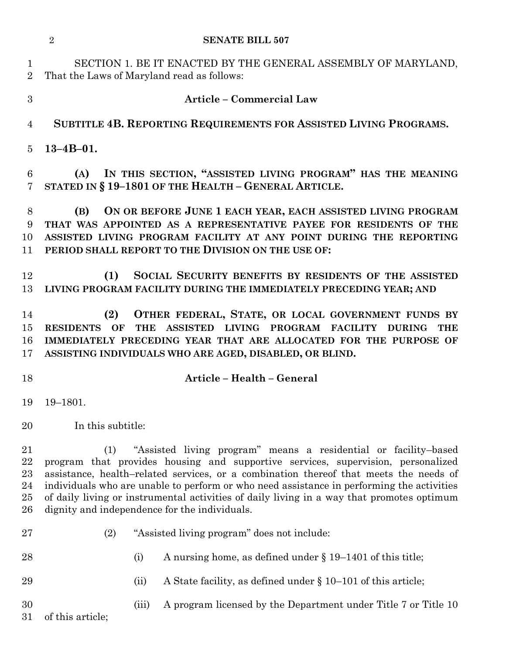|                                      | $\overline{2}$<br><b>SENATE BILL 507</b>                                                                                                                                                                                                                                                                                                                                                                                                                                                       |
|--------------------------------------|------------------------------------------------------------------------------------------------------------------------------------------------------------------------------------------------------------------------------------------------------------------------------------------------------------------------------------------------------------------------------------------------------------------------------------------------------------------------------------------------|
| $\mathbf 1$<br>$\overline{2}$        | SECTION 1. BE IT ENACTED BY THE GENERAL ASSEMBLY OF MARYLAND,<br>That the Laws of Maryland read as follows:                                                                                                                                                                                                                                                                                                                                                                                    |
| 3                                    | Article – Commercial Law                                                                                                                                                                                                                                                                                                                                                                                                                                                                       |
| $\overline{4}$                       | SUBTITLE 4B. REPORTING REQUIREMENTS FOR ASSISTED LIVING PROGRAMS.                                                                                                                                                                                                                                                                                                                                                                                                                              |
| 5                                    | $13 - 4B - 01.$                                                                                                                                                                                                                                                                                                                                                                                                                                                                                |
| 6<br>7                               | IN THIS SECTION, "ASSISTED LIVING PROGRAM" HAS THE MEANING<br>(A)<br>STATED IN § 19-1801 OF THE HEALTH - GENERAL ARTICLE.                                                                                                                                                                                                                                                                                                                                                                      |
| 8<br>9<br>10<br>11                   | ON OR BEFORE JUNE 1 EACH YEAR, EACH ASSISTED LIVING PROGRAM<br>(B)<br>THAT WAS APPOINTED AS A REPRESENTATIVE PAYEE FOR RESIDENTS OF THE<br>ASSISTED LIVING PROGRAM FACILITY AT ANY POINT DURING THE REPORTING<br>PERIOD SHALL REPORT TO THE DIVISION ON THE USE OF:                                                                                                                                                                                                                            |
| 12<br>13                             | SOCIAL SECURITY BENEFITS BY RESIDENTS OF THE ASSISTED<br>(1)<br>LIVING PROGRAM FACILITY DURING THE IMMEDIATELY PRECEDING YEAR; AND                                                                                                                                                                                                                                                                                                                                                             |
| 14<br>15<br>16<br>17                 | OTHER FEDERAL, STATE, OR LOCAL GOVERNMENT FUNDS BY<br>(2)<br>RESIDENTS OF<br>THE ASSISTED LIVING PROGRAM FACILITY DURING<br>THE<br>IMMEDIATELY PRECEDING YEAR THAT ARE ALLOCATED FOR THE PURPOSE OF<br>ASSISTING INDIVIDUALS WHO ARE AGED, DISABLED, OR BLIND.                                                                                                                                                                                                                                 |
| 18                                   | Article - Health - General                                                                                                                                                                                                                                                                                                                                                                                                                                                                     |
|                                      | 19 19 - 1801.                                                                                                                                                                                                                                                                                                                                                                                                                                                                                  |
| 20                                   | In this subtitle:                                                                                                                                                                                                                                                                                                                                                                                                                                                                              |
| 21<br>22<br>23<br>24<br>25<br>$26\,$ | "Assisted living program" means a residential or facility-based<br>(1)<br>program that provides housing and supportive services, supervision, personalized<br>assistance, health-related services, or a combination thereof that meets the needs of<br>individuals who are unable to perform or who need assistance in performing the activities<br>of daily living or instrumental activities of daily living in a way that promotes optimum<br>dignity and independence for the individuals. |
| $27\,$                               | "Assisted living program" does not include:<br>(2)                                                                                                                                                                                                                                                                                                                                                                                                                                             |
| 28                                   | A nursing home, as defined under $\S 19-1401$ of this title;<br>(i)                                                                                                                                                                                                                                                                                                                                                                                                                            |
| 29                                   | A State facility, as defined under $\S 10-101$ of this article;<br>(ii)                                                                                                                                                                                                                                                                                                                                                                                                                        |
| 30<br>31                             | A program licensed by the Department under Title 7 or Title 10<br>(iii)<br>of this article;                                                                                                                                                                                                                                                                                                                                                                                                    |